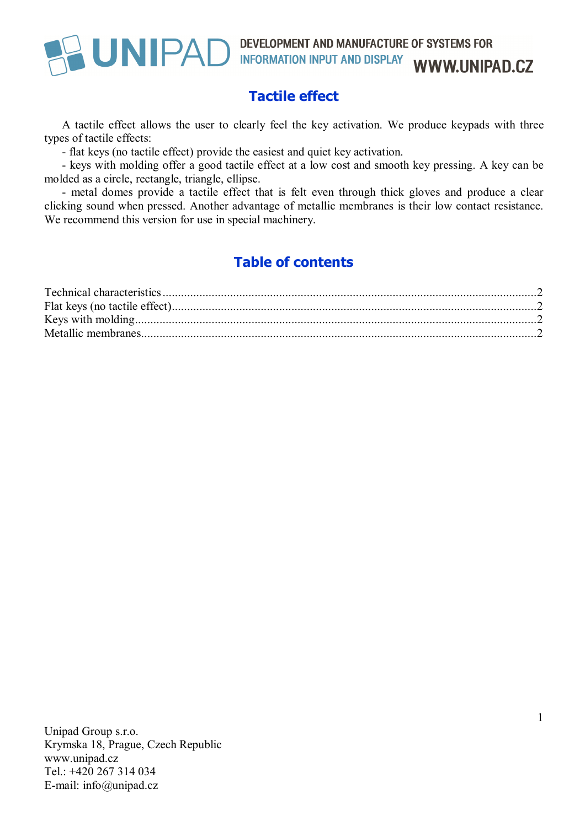# UNIPAD DEVELOPMENT AND MANUFACTURE OF SYSTEMS FOR INFORMATION INPUT AND DISPLAY WWW.UNIPAD.CZ

## **Tactile effect**

A tactile effect allows the user to clearly feel the key activation. We produce keypads with three types of tactile effects:

- flat keys (no tactile effect) provide the easiest and quiet key activation.

- keys with molding offer a good tactile effect at a low cost and smooth key pressing. A key can be molded as a circle, rectangle, triangle, ellipse.

- metal domes provide a tactile effect that is felt even through thick gloves and produce a clear clicking sound when pressed. Another advantage of metallic membranes is their low contact resistance. We recommend this version for use in special machinery.

## **Table of contents**

Unipad Group s.r.o. Krymska 18, Prague, Czech Republic www.unipad.cz Tel.: +420 267 314 034 E-mail: info@unipad.cz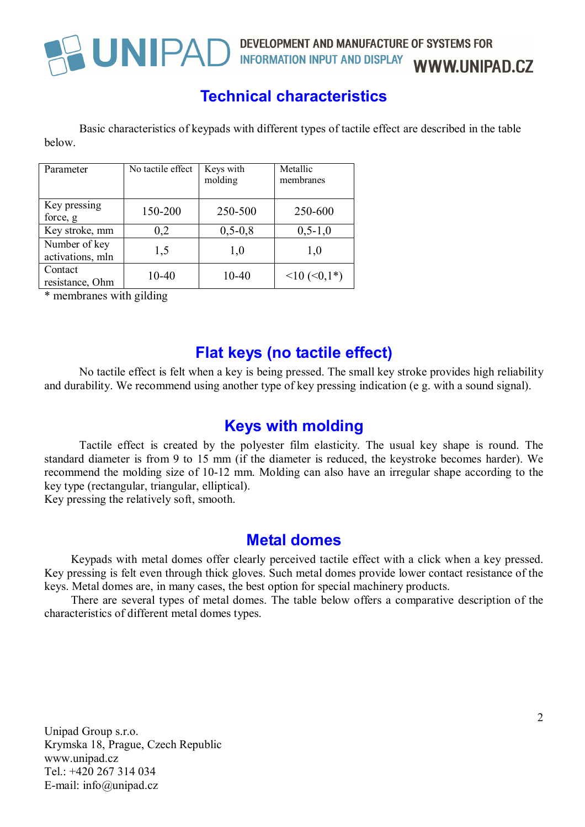

## UNIPAD DEVELOPMENT AND MANUFACTURE OF SYSTEMS FOR INFORMATION INPUT AND DISPLAY WWW.UNIPAD.CZ

## **Technical characteristics**

Basic characteristics of keypads with different types of tactile effect are described in the table below.

| Parameter                         | No tactile effect | Keys with<br>molding | Metallic<br>membranes      |
|-----------------------------------|-------------------|----------------------|----------------------------|
| Key pressing<br>force, g          | 150-200           | 250-500              | 250-600                    |
| Key stroke, mm                    | 0,2               | $0, 5 - 0, 8$        | $0, 5 - 1, 0$              |
| Number of key<br>activations, mln | 1,5               | 1,0                  | 1,0                        |
| Contact<br>resistance, Ohm        | $10 - 40$         | 10-40                | $\leq 10$ ( $\leq 0,1^*$ ) |

\* membranes with gilding

### **Flat keys (no tactile effect)**

No tactile effect is felt when a key is being pressed. The small key stroke provides high reliability and durability. We recommend using another type of key pressing indication (e g. with a sound signal).

### **Keys with molding**

Tactile effect is created by the polyester film elasticity. The usual key shape is round. The standard diameter is from 9 to 15 mm (if the diameter is reduced, the keystroke becomes harder). We recommend the molding size of 10-12 mm. Molding can also have an irregular shape according to the key type (rectangular, triangular, elliptical).

Key pressing the relatively soft, smooth.

### **Metal domes**

Keypads with metal domes offer clearly perceived tactile effect with a click when a key pressed. Key pressing is felt even through thick gloves. Such metal domes provide lower contact resistance of the keys. Metal domes are, in many cases, the best option for special machinery products.

There are several types of metal domes. The table below offers a comparative description of the characteristics of different metal domes types.

Unipad Group s.r.o. Krymska 18, Prague, Czech Republic www.unipad.cz Tel.: +420 267 314 034 E-mail: info@unipad.cz